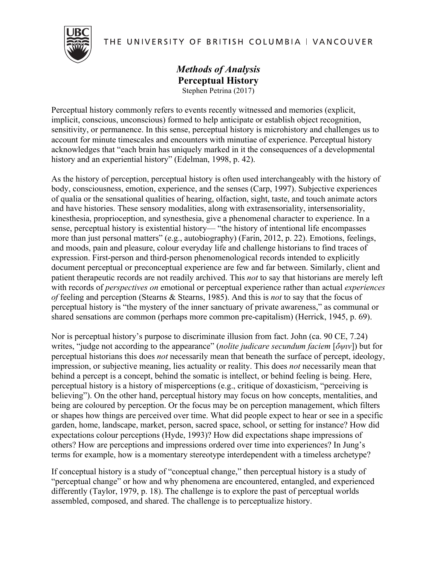THE UNIVERSITY OF BRITISH COLUMBIA | VANCOUVER



## *Methods of Analysis* **Perceptual History** Stephen Petrina (2017)

Perceptual history commonly refers to events recently witnessed and memories (explicit, implicit, conscious, unconscious) formed to help anticipate or establish object recognition, sensitivity, or permanence. In this sense, perceptual history is microhistory and challenges us to account for minute timescales and encounters with minutiae of experience. Perceptual history acknowledges that "each brain has uniquely marked in it the consequences of a developmental history and an experiential history" (Edelman, 1998, p. 42).

As the history of perception, perceptual history is often used interchangeably with the history of body, consciousness, emotion, experience, and the senses (Carp, 1997). Subjective experiences of qualia or the sensational qualities of hearing, olfaction, sight, taste, and touch animate actors and have histories. These sensory modalities, along with extrasensoriality, intersensoriality, kinesthesia, proprioception, and synesthesia, give a phenomenal character to experience. In a sense, perceptual history is existential history— "the history of intentional life encompasses more than just personal matters" (e.g., autobiography) (Farin, 2012, p. 22). Emotions, feelings, and moods, pain and pleasure, colour everyday life and challenge historians to find traces of expression. First-person and third-person phenomenological records intended to explicitly document perceptual or preconceptual experience are few and far between. Similarly, client and patient therapeutic records are not readily archived. This *not* to say that historians are merely left with records of *perspectives on* emotional or perceptual experience rather than actual *experiences of* feeling and perception (Stearns & Stearns, 1985). And this is *not* to say that the focus of perceptual history is "the mystery of the inner sanctuary of private awareness," as communal or shared sensations are common (perhaps more common pre-capitalism) (Herrick, 1945, p. 69).

Nor is perceptual history's purpose to discriminate illusion from fact. John (ca. 90 CE, 7.24) writes, "judge not according to the appearance" (*nolite judicare secundum faciem* [*ὄψιν*]) but for perceptual historians this does *not* necessarily mean that beneath the surface of percept, ideology, impression, or subjective meaning, lies actuality or reality. This does *not* necessarily mean that behind a percept is a concept, behind the somatic is intellect, or behind feeling is being. Here, perceptual history is a history of misperceptions (e.g., critique of doxasticism, "perceiving is believing"). On the other hand, perceptual history may focus on how concepts, mentalities, and being are coloured by perception. Or the focus may be on perception management, which filters or shapes how things are perceived over time. What did people expect to hear or see in a specific garden, home, landscape, market, person, sacred space, school, or setting for instance? How did expectations colour perceptions (Hyde, 1993)? How did expectations shape impressions of others? How are perceptions and impressions ordered over time into experiences? In Jung's terms for example, how is a momentary stereotype interdependent with a timeless archetype?

If conceptual history is a study of "conceptual change," then perceptual history is a study of "perceptual change" or how and why phenomena are encountered, entangled, and experienced differently (Taylor, 1979, p. 18). The challenge is to explore the past of perceptual worlds assembled, composed, and shared. The challenge is to perceptualize history.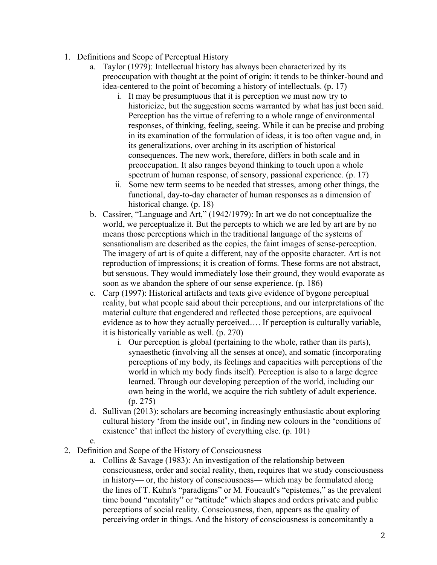- 1. Definitions and Scope of Perceptual History
	- a. Taylor (1979): Intellectual history has always been characterized by its preoccupation with thought at the point of origin: it tends to be thinker-bound and idea-centered to the point of becoming a history of intellectuals. (p. 17)
		- i. It may be presumptuous that it is perception we must now try to historicize, but the suggestion seems warranted by what has just been said. Perception has the virtue of referring to a whole range of environmental responses, of thinking, feeling, seeing. While it can be precise and probing in its examination of the formulation of ideas, it is too often vague and, in its generalizations, over arching in its ascription of historical consequences. The new work, therefore, differs in both scale and in preoccupation. It also ranges beyond thinking to touch upon a whole spectrum of human response, of sensory, passional experience. (p. 17)
		- ii. Some new term seems to be needed that stresses, among other things, the functional, day-to-day character of human responses as a dimension of historical change. (p. 18)
	- b. Cassirer, "Language and Art," (1942/1979): In art we do not conceptualize the world, we perceptualize it. But the percepts to which we are led by art are by no means those perceptions which in the traditional language of the systems of sensationalism are described as the copies, the faint images of sense-perception. The imagery of art is of quite a different, nay of the opposite character. Art is not reproduction of impressions; it is creation of forms. These forms are not abstract, but sensuous. They would immediately lose their ground, they would evaporate as soon as we abandon the sphere of our sense experience. (p. 186)
	- c. Carp (1997): Historical artifacts and texts give evidence of bygone perceptual reality, but what people said about their perceptions, and our interpretations of the material culture that engendered and reflected those perceptions, are equivocal evidence as to how they actually perceived…. If perception is culturally variable, it is historically variable as well. (p. 270)
		- i. Our perception is global (pertaining to the whole, rather than its parts), synaesthetic (involving all the senses at once), and somatic (incorporating perceptions of my body, its feelings and capacities with perceptions of the world in which my body finds itself). Perception is also to a large degree learned. Through our developing perception of the world, including our own being in the world, we acquire the rich subtlety of adult experience. (p. 275)
	- d. Sullivan (2013): scholars are becoming increasingly enthusiastic about exploring cultural history 'from the inside out', in finding new colours in the 'conditions of existence' that inflect the history of everything else. (p. 101)
	- e.

## 2. Definition and Scope of the History of Consciousness

a. Collins & Savage (1983): An investigation of the relationship between consciousness, order and social reality, then, requires that we study consciousness in history— or, the history of consciousness— which may be formulated along the lines of T. Kuhn's "paradigms" or M. Foucault's "epistemes," as the prevalent time bound "mentality" or "attitude" which shapes and orders private and public perceptions of social reality. Consciousness, then, appears as the quality of perceiving order in things. And the history of consciousness is concomitantly a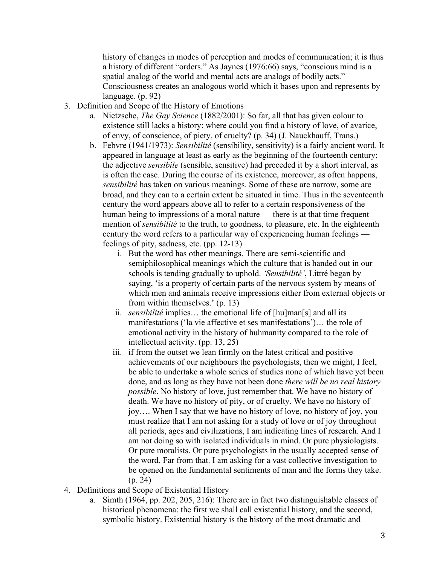history of changes in modes of perception and modes of communication; it is thus a history of different "orders." As Jaynes (1976:66) says, "conscious mind is a spatial analog of the world and mental acts are analogs of bodily acts." Consciousness creates an analogous world which it bases upon and represents by language. (p. 92)

- 3. Definition and Scope of the History of Emotions
	- a. Nietzsche, *The Gay Science* (1882/2001): So far, all that has given colour to existence still lacks a history: where could you find a history of love, of avarice, of envy, of conscience, of piety, of cruelty? (p. 34) (J. Nauckhauff, Trans.)
	- b. Febvre (1941/1973): *Sensibilité* (sensibility, sensitivity) is a fairly ancient word. It appeared in language at least as early as the beginning of the fourteenth century; the adjective *sensibile* (sensible, sensitive) had preceded it by a short interval, as is often the case. During the course of its existence, moreover, as often happens, *sensibilité* has taken on various meanings. Some of these are narrow, some are broad, and they can to a certain extent be situated in time. Thus in the seventeenth century the word appears above all to refer to a certain responsiveness of the human being to impressions of a moral nature — there is at that time frequent mention of *sensibilité* to the truth, to goodness, to pleasure, etc. In the eighteenth century the word refers to a particular way of experiencing human feelings feelings of pity, sadness, etc. (pp. 12-13)
		- i. But the word has other meanings. There are semi-scientific and semiphilosophical meanings which the culture that is handed out in our schools is tending gradually to uphold. *'Sensibilité'*, Littré began by saying, 'is a property of certain parts of the nervous system by means of which men and animals receive impressions either from external objects or from within themselves.' (p. 13)
		- ii. *sensibilité* implies… the emotional life of [hu]man[s] and all its manifestations ('la vie affective et ses manifestations')… the role of emotional activity in the history of huhmanity compared to the role of intellectual activity. (pp. 13, 25)
		- iii. if from the outset we lean firmly on the latest critical and positive achievements of our neighbours the psychologists, then we might, I feel, be able to undertake a whole series of studies none of which have yet been done, and as long as they have not been done *there will be no real history possible*. No history of love, just remember that. We have no history of death. We have no history of pity, or of cruelty. We have no history of joy…. When I say that we have no history of love, no history of joy, you must realize that I am not asking for a study of love or of joy throughout all periods, ages and civilizations, I am indicating lines of research. And I am not doing so with isolated individuals in mind. Or pure physiologists. Or pure moralists. Or pure psychologists in the usually accepted sense of the word. Far from that. I am asking for a vast collective investigation to be opened on the fundamental sentiments of man and the forms they take. (p. 24)
- 4. Definitions and Scope of Existential History
	- a. Simth (1964, pp. 202, 205, 216): There are in fact two distinguishable classes of historical phenomena: the first we shall call existential history, and the second, symbolic history. Existential history is the history of the most dramatic and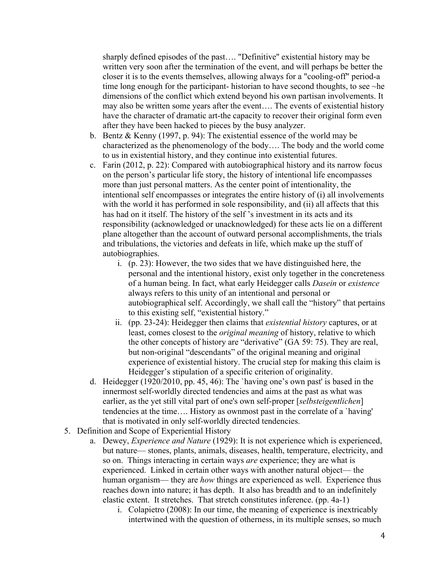sharply defined episodes of the past…. "Definitive'' existential history may be written very soon after the termination of the event, and will perhaps be better the closer it is to the events themselves, allowing always for a "cooling-off" period-a time long enough for the participant- historian to have second thoughts, to see ~he dimensions of the conflict which extend beyond his own partisan involvements. It may also be written some years after the event…. The events of existential history have the character of dramatic art-the capacity to recover their original form even after they have been hacked to pieces by the busy analyzer.

- b. Bentz & Kenny (1997, p. 94): The existential essence of the world may be characterized as the phenomenology of the body…. The body and the world come to us in existential history, and they continue into existential futures.
- c. Farin (2012, p. 22): Compared with autobiographical history and its narrow focus on the person's particular life story, the history of intentional life encompasses more than just personal matters. As the center point of intentionality, the intentional self encompasses or integrates the entire history of (i) all involvements with the world it has performed in sole responsibility, and (ii) all affects that this has had on it itself. The history of the self 's investment in its acts and its responsibility (acknowledged or unacknowledged) for these acts lie on a different plane altogether than the account of outward personal accomplishments, the trials and tribulations, the victories and defeats in life, which make up the stuff of autobiographies.
	- i. (p. 23): However, the two sides that we have distinguished here, the personal and the intentional history, exist only together in the concreteness of a human being. In fact, what early Heidegger calls *Dasein* or *existence* always refers to this unity of an intentional and personal or autobiographical self. Accordingly, we shall call the "history" that pertains to this existing self, "existential history."
	- ii. (pp. 23-24): Heidegger then claims that *existential history* captures, or at least, comes closest to the *original meaning* of history, relative to which the other concepts of history are "derivative" (GA 59: 75). They are real, but non-original "descendants" of the original meaning and original experience of existential history. The crucial step for making this claim is Heidegger's stipulation of a specific criterion of originality.
- d. Heidegger (1920/2010, pp. 45, 46): The `having one's own past' is based in the innermost self-worldly directed tendencies and aims at the past as what was earlier, as the yet still vital part of one's own self-proper [*selbsteigentlichen*] tendencies at the time…. History as ownmost past in the correlate of a `having' that is motivated in only self-worldly directed tendencies.
- 5. Definition and Scope of Experiential History
	- a. Dewey, *Experience and Nature* (1929): It is not experience which is experienced, but nature— stones, plants, animals, diseases, health, temperature, electricity, and so on. Things interacting in certain ways *are* experience; they are what is experienced. Linked in certain other ways with another natural object— the human organism— they are *how* things are experienced as well. Experience thus reaches down into nature; it has depth. It also has breadth and to an indefinitely elastic extent. It stretches. That stretch constitutes inference. (pp. 4a-1)
		- i. Colapietro (2008): In our time, the meaning of experience is inextricably intertwined with the question of otherness, in its multiple senses, so much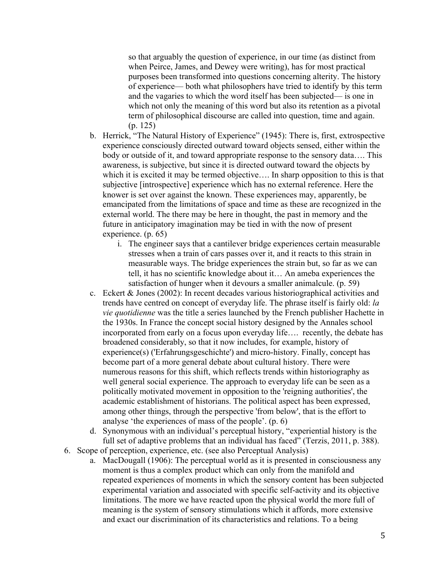so that arguably the question of experience, in our time (as distinct from when Peirce, James, and Dewey were writing), has for most practical purposes been transformed into questions concerning alterity. The history of experience— both what philosophers have tried to identify by this term and the vagaries to which the word itself has been subjected— is one in which not only the meaning of this word but also its retention as a pivotal term of philosophical discourse are called into question, time and again. (p. 125)

- b. Herrick, "The Natural History of Experience" (1945): There is, first, extrospective experience consciously directed outward toward objects sensed, either within the body or outside of it, and toward appropriate response to the sensory data…. This awareness, is subjective, but since it is directed outward toward the objects by which it is excited it may be termed objective.... In sharp opposition to this is that subjective [introspective] experience which has no external reference. Here the knower is set over against the known. These experiences may, apparently, be emancipated from the limitations of space and time as these are recognized in the external world. The there may be here in thought, the past in memory and the future in anticipatory imagination may be tied in with the now of present experience. (p. 65)
	- i. The engineer says that a cantilever bridge experiences certain measurable stresses when a train of cars passes over it, and it reacts to this strain in measurable ways. The bridge experiences the strain but, so far as we can tell, it has no scientific knowledge about it… An ameba experiences the satisfaction of hunger when it devours a smaller animalcule. (p. 59)
- c. Eckert & Jones (2002): In recent decades various historiographical activities and trends have centred on concept of everyday life. The phrase itself is fairly old: *la vie quotidienne* was the title a series launched by the French publisher Hachette in the 1930s. In France the concept social history designed by the Annales school incorporated from early on a focus upon everyday life…. recently, the debate has broadened considerably, so that it now includes, for example, history of experience(s) ('Erfahrungsgeschichte') and micro-history. Finally, concept has become part of a more general debate about cultural history. There were numerous reasons for this shift, which reflects trends within historiography as well general social experience. The approach to everyday life can be seen as a politically motivated movement in opposition to the 'reigning authorities', the academic establishment of historians. The political aspect has been expressed, among other things, through the perspective 'from below', that is the effort to analyse 'the experiences of mass of the people'. (p. 6)
- d. Synonymous with an individual's perceptual history, "experiential history is the full set of adaptive problems that an individual has faced" (Terzis, 2011, p. 388).
- 6. Scope of perception, experience, etc. (see also Perceptual Analysis)
	- a. MacDougall (1906): The perceptual world as it is presented in consciousness any moment is thus a complex product which can only from the manifold and repeated experiences of moments in which the sensory content has been subjected experimental variation and associated with specific self-activity and its objective limitations. The more we have reacted upon the physical world the more full of meaning is the system of sensory stimulations which it affords, more extensive and exact our discrimination of its characteristics and relations. To a being